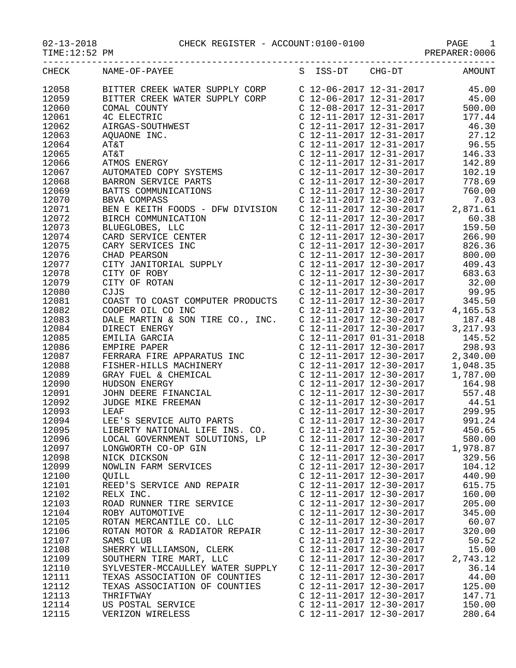02-13-2018 CHECK REGISTER - ACCOUNT:0100-0100 PAGE 1

| TIME:12:52 PM |                                                                                                                                                                                                                                      |                                                                                                                                                     | PREPARER: 0006 |
|---------------|--------------------------------------------------------------------------------------------------------------------------------------------------------------------------------------------------------------------------------------|-----------------------------------------------------------------------------------------------------------------------------------------------------|----------------|
| <b>CHECK</b>  | NAME-OF-PAYEE                                                                                                                                                                                                                        | S ISS-DT CHG-DT                                                                                                                                     | <b>AMOUNT</b>  |
| 12058         |                                                                                                                                                                                                                                      |                                                                                                                                                     |                |
| 12059         | BITTER CREEK WATER SUPPLY CORP<br>BITTER CREEK WATER SUPPLY CORP<br>C 12-06-2017 12-31-2017<br>45.00                                                                                                                                 |                                                                                                                                                     | 45.00          |
| 12060         |                                                                                                                                                                                                                                      | $C$ 12-08-2017 12-31-2017                                                                                                                           | 500.00         |
| 12061         | ITTER CREEK WATER SUPPLI CONAL COUNTY<br>COMAL COUNTY<br>C ELECTRIC C<br>AIRGAS-SOUTHWEST C<br>AQUAONE INC. (<br>AT&T<br>AT&T (<br>AT&T (<br>COMATED COPY SYSTEMS<br>BARRON SERVICE PARTS<br>PATTS COMMUNICATIONS                    | $C$ 12-11-2017 12-31-2017                                                                                                                           | 177.44         |
| 12062         |                                                                                                                                                                                                                                      | C $12 - 11 - 2017$ $12 - 31 - 2017$                                                                                                                 | 46.30          |
|               |                                                                                                                                                                                                                                      | C 12-11-2017 12-31-2017                                                                                                                             |                |
| 12063         |                                                                                                                                                                                                                                      |                                                                                                                                                     | 27.12          |
| 12064         |                                                                                                                                                                                                                                      | $C$ 12-11-2017 12-31-2017                                                                                                                           | 96.55          |
| 12065         |                                                                                                                                                                                                                                      | C 12-11-2017 12-31-2017                                                                                                                             | 146.33         |
| 12066         |                                                                                                                                                                                                                                      | C 12-11-2017 12-31-2017                                                                                                                             | 142.89         |
| 12067         |                                                                                                                                                                                                                                      | C 12-11-2017 12-30-2017                                                                                                                             | 102.19         |
| 12068         |                                                                                                                                                                                                                                      | C 12-11-2017 12-30-2017                                                                                                                             | 778.69         |
| 12069         |                                                                                                                                                                                                                                      | $C$ 12-11-2017 12-30-2017                                                                                                                           | 760.00         |
| 12070         |                                                                                                                                                                                                                                      | $C$ 12-11-2017 12-30-2017<br>C 12-11-2017 12-30-2017<br>C 12-11-2017 12-30-2017                                                                     | 7.03           |
| 12071         | BEN E KEITH FOODS - DFW DIVISION                                                                                                                                                                                                     |                                                                                                                                                     | 2,871.61       |
| 12072         |                                                                                                                                                                                                                                      | $C$ 12-11-2017 12-30-2017                                                                                                                           | 60.38          |
| 12073         |                                                                                                                                                                                                                                      | $C$ 12-11-2017 12-30-2017                                                                                                                           | 159.50         |
| 12074         |                                                                                                                                                                                                                                      | C 12-11-2017 12-30-2017                                                                                                                             | 266.90         |
| 12075         |                                                                                                                                                                                                                                      | C 12-11-2017 12-30-2017                                                                                                                             | 826.36         |
| 12076         |                                                                                                                                                                                                                                      | $C$ 12-11-2017 12-30-2017                                                                                                                           | 800.00         |
| 12077         |                                                                                                                                                                                                                                      | C 12-11-2017 12-30-2017                                                                                                                             | 409.43         |
| 12078         |                                                                                                                                                                                                                                      | C 12-11-2017 12-30-2017                                                                                                                             | 683.63         |
| 12079         |                                                                                                                                                                                                                                      | C 12-11-2017 12-30-2017                                                                                                                             | 32.00          |
| 12080         | BEN E REIHH FOODS BEN BIRCH<br>BIRCH COMMUNICATION<br>BLUEGLOBES, LLC<br>CARD SERVICE CENTER<br>CARY SERVICES INC<br>CHAD PEARSON<br>CITY JANITORIAL SUPPLY<br>CITY OF ROBY<br>CITY OF ROBY<br>CITY OF ROBY<br>CITY OF ROTAN<br>CJJS | $C$ 12-11-2017 12-30-2017                                                                                                                           | 99.95          |
| 12081         | COAST TO COAST COMPUTER PRODUCTS                                                                                                                                                                                                     | $\begin{array}{cccccc}\n0.12 & 11 & 201 & 12-30-201 \\ \hline\nC & 12-11-2017 & 12-30-2017 \\ \hline\nC & 12-11-2017 & 12-30-2017 & 4\n\end{array}$ | 345.50         |
| 12082         | COOPER OIL CO INC                                                                                                                                                                                                                    |                                                                                                                                                     | 4,165.53       |
| 12083         | DALE MARTIN & SON TIRE CO., INC.                                                                                                                                                                                                     | C 12-11-2017 12-30-2017                                                                                                                             | 187.48         |
| 12084         | DIRECT ENERGY                                                                                                                                                                                                                        | $C$ 12-11-2017 12-30-2017                                                                                                                           | 3,217.93       |
| 12085         | EMILIA GARCIA                                                                                                                                                                                                                        | C 12-11-2017 01-31-2018                                                                                                                             | 145.52         |
| 12086         |                                                                                                                                                                                                                                      | C 12-11-2017 12-30-2017                                                                                                                             | 298.93         |
|               | EMPIRE PAPER                                                                                                                                                                                                                         | $C$ 12-11-2017 12-30-2017                                                                                                                           |                |
| 12087         |                                                                                                                                                                                                                                      |                                                                                                                                                     | 2,340.00       |
| 12088         |                                                                                                                                                                                                                                      | C 12-11-2017 12-30-2017                                                                                                                             | 1,048.35       |
| 12089         | EMPIRE PAPER<br>FERRARA FIRE APPARATUS INC<br>FISHER-HILLS MACHINERY<br>GRAY FUEL & CHEMICAL<br>HUDSON ENERGY<br>JOHN DEERE FINANCIAL<br>JUDGE MIKE FREEMAN<br>LEAF                                                                  | C 12-11-2017 12-30-2017                                                                                                                             | 1,787.00       |
| 12090         |                                                                                                                                                                                                                                      | $C$ 12-11-2017 12-30-2017                                                                                                                           | 164.98         |
| 12091         |                                                                                                                                                                                                                                      | C 12-11-2017 12-30-2017<br>C 12-11-2017 12-30-2017                                                                                                  | 557.48         |
| 12092         |                                                                                                                                                                                                                                      |                                                                                                                                                     | 44.51          |
| 12093         | LEAF                                                                                                                                                                                                                                 | C 12-11-2017 12-30-2017                                                                                                                             | 299.95         |
| 12094         | LEE'S SERVICE AUTO PARTS                                                                                                                                                                                                             | $C$ 12-11-2017 12-30-2017                                                                                                                           | 991.24         |
| 12095         | LIBERTY NATIONAL LIFE INS. CO.                                                                                                                                                                                                       | C 12-11-2017 12-30-2017                                                                                                                             | 450.65         |
| 12096         | LOCAL GOVERNMENT SOLUTIONS, LP                                                                                                                                                                                                       | C 12-11-2017 12-30-2017                                                                                                                             | 580.00         |
| 12097         | LONGWORTH CO-OP GIN                                                                                                                                                                                                                  | C 12-11-2017 12-30-2017                                                                                                                             | 1,978.87       |
| 12098         | NICK DICKSON                                                                                                                                                                                                                         | C 12-11-2017 12-30-2017                                                                                                                             | 329.56         |
| 12099         | NOWLIN FARM SERVICES                                                                                                                                                                                                                 | $C$ 12-11-2017 12-30-2017                                                                                                                           | 104.12         |
| 12100         | OUILL                                                                                                                                                                                                                                | C 12-11-2017 12-30-2017                                                                                                                             | 440.90         |
| 12101         | REED'S SERVICE AND REPAIR                                                                                                                                                                                                            | C 12-11-2017 12-30-2017                                                                                                                             | 615.75         |
| 12102         | RELX INC.                                                                                                                                                                                                                            | C 12-11-2017 12-30-2017                                                                                                                             | 160.00         |
| 12103         | ROAD RUNNER TIRE SERVICE                                                                                                                                                                                                             | C 12-11-2017 12-30-2017                                                                                                                             | 205.00         |
| 12104         | ROBY AUTOMOTIVE                                                                                                                                                                                                                      | C 12-11-2017 12-30-2017                                                                                                                             | 345.00         |
| 12105         | ROTAN MERCANTILE CO. LLC                                                                                                                                                                                                             | C 12-11-2017 12-30-2017                                                                                                                             | 60.07          |
| 12106         | ROTAN MOTOR & RADIATOR REPAIR                                                                                                                                                                                                        | C 12-11-2017 12-30-2017                                                                                                                             | 320.00         |
| 12107         | SAMS CLUB                                                                                                                                                                                                                            | C 12-11-2017 12-30-2017                                                                                                                             | 50.52          |
| 12108         | SHERRY WILLIAMSON, CLERK                                                                                                                                                                                                             | C 12-11-2017 12-30-2017                                                                                                                             | 15.00          |
| 12109         | SOUTHERN TIRE MART, LLC                                                                                                                                                                                                              | C 12-11-2017 12-30-2017                                                                                                                             | 2,743.12       |
| 12110         | SYLVESTER-MCCAULLEY WATER SUPPLY                                                                                                                                                                                                     | $C$ 12-11-2017 12-30-2017                                                                                                                           | 36.14          |
| 12111         | TEXAS ASSOCIATION OF COUNTIES                                                                                                                                                                                                        | C 12-11-2017 12-30-2017                                                                                                                             | 44.00          |
| 12112         | TEXAS ASSOCIATION OF COUNTIES                                                                                                                                                                                                        | C 12-11-2017 12-30-2017                                                                                                                             | 125.00         |
| 12113         | THRIFTWAY                                                                                                                                                                                                                            | C 12-11-2017 12-30-2017                                                                                                                             | 147.71         |
| 12114         |                                                                                                                                                                                                                                      | C 12-11-2017 12-30-2017                                                                                                                             | 150.00         |
|               | US POSTAL SERVICE                                                                                                                                                                                                                    |                                                                                                                                                     |                |
| 12115         | VERIZON WIRELESS                                                                                                                                                                                                                     | C 12-11-2017 12-30-2017                                                                                                                             | 280.64         |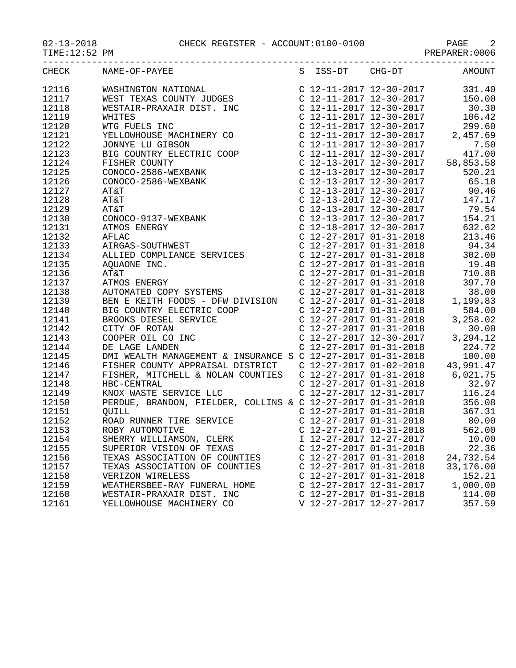## 02-13-2018 CHECK REGISTER - ACCOUNT:0100-0100 PAGE 2

| TIME:12:52 PM |                                                                                                                                                                                                                                                                                                                                                                                                                                                                   |  |                           |           |
|---------------|-------------------------------------------------------------------------------------------------------------------------------------------------------------------------------------------------------------------------------------------------------------------------------------------------------------------------------------------------------------------------------------------------------------------------------------------------------------------|--|---------------------------|-----------|
| CHECK         | $\begin{tabular}{l c c c c} \multicolumn{1}{l}{\textbf{NAME}-OP-PAYBE} & \multicolumn{1}{l}{\textbf{S}} & \multicolumn{1}{l}{\textbf{S}} & \multicolumn{1}{l}{\textbf{S}} & \multicolumn{1}{l}{\textbf{S}} & \multicolumn{1}{l}{\textbf{S}} & \multicolumn{1}{l}{\textbf{S}} & \multicolumn{1}{l}{\textbf{S}} & \multicolumn{1}{l}{\textbf{S}} & \multicolumn{1}{l}{\textbf{S}} & \multicolumn{1}{l}{\textbf{S}} & \multicolumn{1}{l}{\textbf{S}} & \multicolumn$ |  |                           |           |
| 12116         |                                                                                                                                                                                                                                                                                                                                                                                                                                                                   |  |                           |           |
| 12117         |                                                                                                                                                                                                                                                                                                                                                                                                                                                                   |  |                           |           |
| 12118         |                                                                                                                                                                                                                                                                                                                                                                                                                                                                   |  |                           |           |
| 12119         |                                                                                                                                                                                                                                                                                                                                                                                                                                                                   |  |                           |           |
| 12120         |                                                                                                                                                                                                                                                                                                                                                                                                                                                                   |  |                           |           |
| 12121         |                                                                                                                                                                                                                                                                                                                                                                                                                                                                   |  |                           |           |
| 12122         |                                                                                                                                                                                                                                                                                                                                                                                                                                                                   |  |                           |           |
| 12123         |                                                                                                                                                                                                                                                                                                                                                                                                                                                                   |  |                           |           |
| 12124         |                                                                                                                                                                                                                                                                                                                                                                                                                                                                   |  |                           |           |
| 12125         |                                                                                                                                                                                                                                                                                                                                                                                                                                                                   |  |                           |           |
| 12126         |                                                                                                                                                                                                                                                                                                                                                                                                                                                                   |  |                           |           |
| 12127         |                                                                                                                                                                                                                                                                                                                                                                                                                                                                   |  |                           |           |
| 12128         |                                                                                                                                                                                                                                                                                                                                                                                                                                                                   |  |                           |           |
| 12129         |                                                                                                                                                                                                                                                                                                                                                                                                                                                                   |  |                           |           |
| 12130         |                                                                                                                                                                                                                                                                                                                                                                                                                                                                   |  |                           |           |
| 12131         |                                                                                                                                                                                                                                                                                                                                                                                                                                                                   |  |                           |           |
| 12132         |                                                                                                                                                                                                                                                                                                                                                                                                                                                                   |  |                           |           |
| 12133         |                                                                                                                                                                                                                                                                                                                                                                                                                                                                   |  |                           |           |
| 12134         |                                                                                                                                                                                                                                                                                                                                                                                                                                                                   |  |                           |           |
| 12135         |                                                                                                                                                                                                                                                                                                                                                                                                                                                                   |  |                           |           |
| 12136         |                                                                                                                                                                                                                                                                                                                                                                                                                                                                   |  |                           |           |
| 12137         |                                                                                                                                                                                                                                                                                                                                                                                                                                                                   |  |                           |           |
| 12138         |                                                                                                                                                                                                                                                                                                                                                                                                                                                                   |  |                           |           |
| 12139         |                                                                                                                                                                                                                                                                                                                                                                                                                                                                   |  |                           |           |
| 12140         |                                                                                                                                                                                                                                                                                                                                                                                                                                                                   |  |                           |           |
| 12141         |                                                                                                                                                                                                                                                                                                                                                                                                                                                                   |  |                           |           |
| 12142         |                                                                                                                                                                                                                                                                                                                                                                                                                                                                   |  |                           |           |
| 12143         | COOPER OIL CO INC<br>DE LAGE LANDEN<br>DE LAGE LANDEN<br>DMI WEALTH MANAGEMENT & INSURANCE S C 12-27-2017 01-31-2018<br>PICUER COUNTY APPRILIAIL PICTORS                                                                                                                                                                                                                                                                                                          |  |                           |           |
| 12144         |                                                                                                                                                                                                                                                                                                                                                                                                                                                                   |  |                           |           |
| 12145         |                                                                                                                                                                                                                                                                                                                                                                                                                                                                   |  |                           | 100.00    |
| 12146         |                                                                                                                                                                                                                                                                                                                                                                                                                                                                   |  |                           |           |
| 12147         | FISHER, MITCHELL & NOLAN COUNTIES  C 12-27-2017 01-31-2018  6,021.75                                                                                                                                                                                                                                                                                                                                                                                              |  |                           |           |
| 12148         | HBC-CENTRAL<br>HBC-CENTRAL<br>ERDUE, BRANDON, FIELDER, COLLINS & C 12-27-2017 01-31-2018<br>PERDUE, BRANDON, FIELDER, COLLINS & C 12-27-2017 01-31-2018<br>C 12-27-2017 01-31-2018<br>C 12-27-2017 01-31-2018<br>C 12-27-2017 01-31-2018<br>                                                                                                                                                                                                                      |  |                           |           |
| 12149         |                                                                                                                                                                                                                                                                                                                                                                                                                                                                   |  |                           |           |
| 12150         |                                                                                                                                                                                                                                                                                                                                                                                                                                                                   |  |                           |           |
| 12151         |                                                                                                                                                                                                                                                                                                                                                                                                                                                                   |  |                           |           |
| 12152         | QUILL<br>ROAD RUNNER TIRE SERVICE                                                                                                                                                                                                                                                                                                                                                                                                                                 |  |                           |           |
| 12153         | ROBY AUTOMOTIVE                                                                                                                                                                                                                                                                                                                                                                                                                                                   |  | $C$ 12-27-2017 01-31-2018 | 562.00    |
| 12154         | SHERRY WILLIAMSON, CLERK                                                                                                                                                                                                                                                                                                                                                                                                                                          |  | I 12-27-2017 12-27-2017   | 10.00     |
| 12155         | SUPERIOR VISION OF TEXAS                                                                                                                                                                                                                                                                                                                                                                                                                                          |  | $C$ 12-27-2017 01-31-2018 | 22.36     |
| 12156         | TEXAS ASSOCIATION OF COUNTIES                                                                                                                                                                                                                                                                                                                                                                                                                                     |  | $C$ 12-27-2017 01-31-2018 | 24,732.54 |
| 12157         | TEXAS ASSOCIATION OF COUNTIES                                                                                                                                                                                                                                                                                                                                                                                                                                     |  | $C$ 12-27-2017 01-31-2018 | 33,176.00 |
| 12158         | VERIZON WIRELESS                                                                                                                                                                                                                                                                                                                                                                                                                                                  |  | $C$ 12-27-2017 01-31-2018 | 152.21    |
| 12159         | WEATHERSBEE-RAY FUNERAL HOME                                                                                                                                                                                                                                                                                                                                                                                                                                      |  | C 12-27-2017 12-31-2017   | 1,000.00  |
| 12160         | WESTAIR-PRAXAIR DIST. INC                                                                                                                                                                                                                                                                                                                                                                                                                                         |  | $C$ 12-27-2017 01-31-2018 | 114.00    |
| 12161         | YELLOWHOUSE MACHINERY CO                                                                                                                                                                                                                                                                                                                                                                                                                                          |  | V 12-27-2017 12-27-2017   | 357.59    |